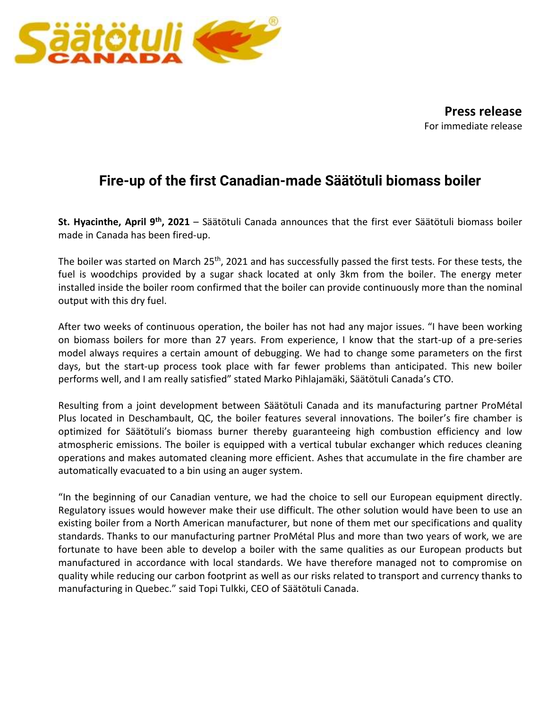

**Press release** For immediate release

## **Fire-up of the first Canadian-made Säätötuli biomass boiler**

**St. Hyacinthe, April 9th , 2021** – Säätötuli Canada announces that the first ever Säätötuli biomass boiler made in Canada has been fired-up.

The boiler was started on March 25<sup>th</sup>, 2021 and has successfully passed the first tests. For these tests, the fuel is woodchips provided by a sugar shack located at only 3km from the boiler. The energy meter installed inside the boiler room confirmed that the boiler can provide continuously more than the nominal output with this dry fuel.

After two weeks of continuous operation, the boiler has not had any major issues. "I have been working on biomass boilers for more than 27 years. From experience, I know that the start-up of a pre-series model always requires a certain amount of debugging. We had to change some parameters on the first days, but the start-up process took place with far fewer problems than anticipated. This new boiler performs well, and I am really satisfied" stated Marko Pihlajamäki, Säätötuli Canada's CTO.

Resulting from a joint development between Säätötuli Canada and its manufacturing partner ProMétal Plus located in Deschambault, QC, the boiler features several innovations. The boiler's fire chamber is optimized for Säätötuli's biomass burner thereby guaranteeing high combustion efficiency and low atmospheric emissions. The boiler is equipped with a vertical tubular exchanger which reduces cleaning operations and makes automated cleaning more efficient. Ashes that accumulate in the fire chamber are automatically evacuated to a bin using an auger system.

"In the beginning of our Canadian venture, we had the choice to sell our European equipment directly. Regulatory issues would however make their use difficult. The other solution would have been to use an existing boiler from a North American manufacturer, but none of them met our specifications and quality standards. Thanks to our manufacturing partner ProMétal Plus and more than two years of work, we are fortunate to have been able to develop a boiler with the same qualities as our European products but manufactured in accordance with local standards. We have therefore managed not to compromise on quality while reducing our carbon footprint as well as our risks related to transport and currency thanks to manufacturing in Quebec." said Topi Tulkki, CEO of Säätötuli Canada.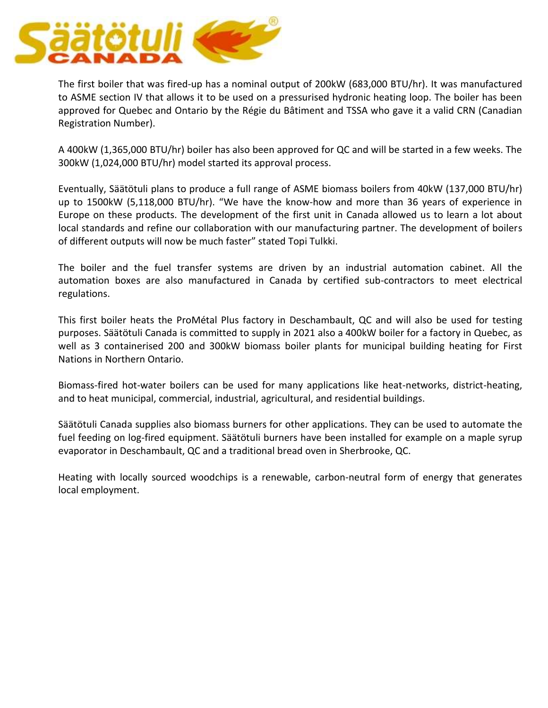

The first boiler that was fired-up has a nominal output of 200kW (683,000 BTU/hr). It was manufactured to ASME section IV that allows it to be used on a pressurised hydronic heating loop. The boiler has been approved for Quebec and Ontario by the Régie du Bâtiment and TSSA who gave it a valid CRN (Canadian Registration Number).

A 400kW (1,365,000 BTU/hr) boiler has also been approved for QC and will be started in a few weeks. The 300kW (1,024,000 BTU/hr) model started its approval process.

Eventually, Säätötuli plans to produce a full range of ASME biomass boilers from 40kW (137,000 BTU/hr) up to 1500kW (5,118,000 BTU/hr). "We have the know-how and more than 36 years of experience in Europe on these products. The development of the first unit in Canada allowed us to learn a lot about local standards and refine our collaboration with our manufacturing partner. The development of boilers of different outputs will now be much faster" stated Topi Tulkki.

The boiler and the fuel transfer systems are driven by an industrial automation cabinet. All the automation boxes are also manufactured in Canada by certified sub-contractors to meet electrical regulations.

This first boiler heats the ProMétal Plus factory in Deschambault, QC and will also be used for testing purposes. Säätötuli Canada is committed to supply in 2021 also a 400kW boiler for a factory in Quebec, as well as 3 containerised 200 and 300kW biomass boiler plants for municipal building heating for First Nations in Northern Ontario.

Biomass-fired hot-water boilers can be used for many applications like heat-networks, district-heating, and to heat municipal, commercial, industrial, agricultural, and residential buildings.

Säätötuli Canada supplies also biomass burners for other applications. They can be used to automate the fuel feeding on log-fired equipment. Säätötuli burners have been installed for example on a maple syrup evaporator in Deschambault, QC and a traditional bread oven in Sherbrooke, QC.

Heating with locally sourced woodchips is a renewable, carbon-neutral form of energy that generates local employment.